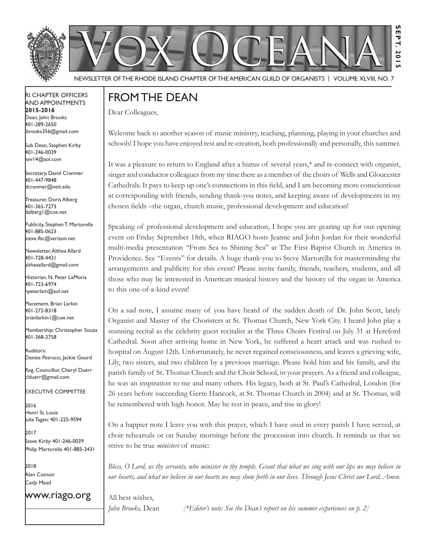



Newsletter of the Rhode Island Chapter of the American Guild of OrganistS | Volume XLVIII, No. 7

### RI Chapter Officers and Appointments **2015-2016** Dean, John Brooks 401-289-2650

Sub Dean, Stephen Kirby 401-246-0039 kev14@aol.com

jbrooks356@gmail.com

Secretary, David Cranmer 401-447-9848 dcranmer@neit.edu

Treasurer, Doris Alberg 401-365-7273 dalberg1@cox.net

I Publicity, Stephen T. Martorella 401-885-0623 steve.fbc@verizon.net

Newsletter, Althea Allard 401-728-4431 altheaallard@gmail.com

Historian, N. Peter LaMoria 401-723-6974 npeterlam@aol.net

Placement, Brian Larkin 401-272-8318 brianlarkin1@cox.net

Membership: Christopher Souza 401-368-2758

Auditors: Denise Petrucci, Jackie Gourd

Reg. Councillor, Cheryl Duerr clduerr@gmail.com

Executive Committee

2016 Henri St. Louis ulie Tagen: 401-225-9594

2017 Steve Kirby 401-246-0039 Philip Martorella 401-885-3431

2018 Alan Cotnoir Cody Mead

www.riago.org

# From the Dean

Dear Colleagues,

Welcome back to another season of music ministry, teaching, planning, playing in your churches and schools! I hope you have enjoyed rest and re-creation, both professionally and personally, this summer.

**Sept. 2015**

 $\overline{\mathbf{c}}$ —<br>5

**S** EPT.

It was a pleasure to return to England after a hiatus of several years,\* and re-connect with organist, singer and conductor colleagues from my time there as a member of the choirs of Wells and Gloucester Cathedrals. It pays to keep up one's connections in this field, and I am becoming more conscientious at corresponding with friends, sending thank-you notes, and keeping aware of developments in my chosen fields –the organ, church music, professional development and education!

Speaking of professional development and education, I hope you are gearing up for our opening event on Friday September 18th, when RIAGO hosts Jeanne and John Jordan for their wonderful multi-media presentation "From Sea to Shining Sea" at The First Baptist Church in America in Providence. See "Events" for details. A huge thank-you to Steve Martorella for masterminding the arrangements and publicity for this event! Please invite family, friends, teachers, students, and all those who may be interested in American musical history and the history of the organ in America to this one-of-a-kind event!

On a sad note, I assume many of you have heard of the sudden death of Dr. John Scott, lately Organist and Master of the Choristers at St. Thomas Church, New York City. I heard John play a stunning recital as the celebrity guest recitalist at the Three Choirs Festival on July 31 at Hereford Cathedral. Soon after arriving home in New York, he suffered a heart attack and was rushed to hospital on August 12th. Unfortunately, he never regained consciousness, and leaves a grieving wife, Lily, two sisters, and two children by a previous marriage. Please hold him and his family, and the parish family of St. Thomas Church and the Choir School, in your prayers. As a friend and colleague, he was an inspiration to me and many others. His legacy, both at St. Paul's Cathedral, London (for 26 years before succeeding Gerre Hancock, at St. Thomas Church in 2004) and at St. Thomas, will be remembered with high honor. May he rest in peace, and rise in glory!

On a happier note I leave you with this prayer, which I have used in every parish I have served, at choir rehearsals or on Sunday mornings before the procession into church. It reminds us that we strive to be true *ministers* of music:

*Bless, O Lord, us thy servants, who minister in thy temple. Grant that what we sing with our lips we may believe in our hearts, and what we believe in our hearts we may show forth in our lives. Through Jesus Christ our Lord. Amen.*

All best wishes,

*John Brooks,* Dean *[\*Editor's note: See the Dean's report on his summer experiences on p. 2]*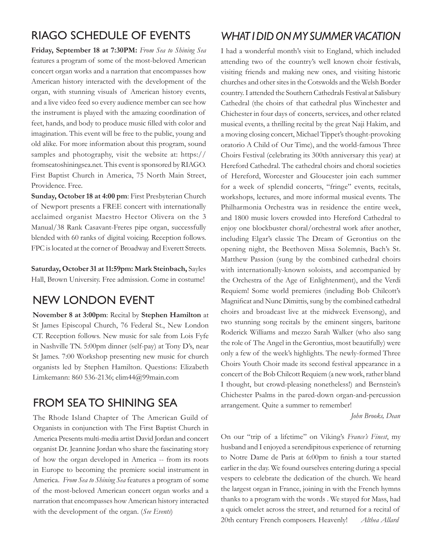# RIAGO Schedule of Events

**Friday, September 18 at 7:30PM:** *From Sea to Shining Sea*  features a program of some of the most-beloved American concert organ works and a narration that encompasses how American history interacted with the development of the organ, with stunning visuals of American history events, and a live video feed so every audience member can see how the instrument is played with the amazing coordination of feet, hands, and body to produce music filled with color and imagination. This event will be free to the public, young and old alike. For more information about this program, sound samples and photography, visit the website at: https:// fromseatoshiningsea.net. This event is sponsored by RIAGO. First Baptist Church in America, 75 North Main Street, Providence. Free.

**Sunday, October 18 at 4:00 pm**: First Presbyterian Church of Newport presents a FREE concert with internationally acclaimed organist Maestro Hector Olivera on the 3 Manual/38 Rank Casavant-Freres pipe organ, successfully blended with 60 ranks of digital voicing. Reception follows. FPC is located at the corner of Broadway and Everett Streets.

**Saturday, October 31 at 11:59pm: Mark Steinbach,** Sayles Hall, Brown University. Free admission. Come in costume!

# New London Event

**November 8 at 3:00pm**: Recital by **Stephen Hamilton** at St James Episcopal Church, 76 Federal St., New London CT. Reception follows. New music for sale from Lois Fyfe in Nashville TN. 5:00pm dinner (self-pay) at Tony D's, near St James. 7:00 Workshop presenting new music for church organists led by Stephen Hamilton. Questions: Elizabeth Limkemann: 860 536-2136; elim44@99main.com

## From Sea to Shining Sea

The Rhode Island Chapter of The American Guild of Organists in conjunction with The First Baptist Church in America Presents multi-media artist David Jordan and concert organist Dr. Jeannine Jordan who share the fascinating story of how the organ developed in America -- from its roots in Europe to becoming the premiere social instrument in America. *From Sea to Shining Sea* features a program of some of the most-beloved American concert organ works and a narration that encompasses how American history interacted with the development of the organ. (*See Events*)

# *What I Did on My Summer Vacation*

I had a wonderful month's visit to England, which included attending two of the country's well known choir festivals, visiting friends and making new ones, and visiting historic churches and other sites in the Cotswolds and the Welsh Border country. I attended the Southern Cathedrals Festival at Salisbury Cathedral (the choirs of that cathedral plus Winchester and Chichester in four days of concerts, services, and other related musical events, a thrilling recital by the great Naji Hakim, and a moving closing concert, Michael Tippet's thought-provoking oratorio A Child of Our Time), and the world-famous Three Choirs Festival (celebrating its 300th anniversary this year) at Hereford Cathedral. The cathedral choirs and choral societies of Hereford, Worcester and Gloucester join each summer for a week of splendid concerts, "fringe" events, recitals, workshops, lectures, and more informal musical events. The Philharmonia Orchestra was in residence the entire week, and 1800 music lovers crowded into Hereford Cathedral to enjoy one blockbuster choral/orchestral work after another, including Elgar's classic The Dream of Gerontius on the opening night, the Beethoven Missa Solemnis, Bach's St. Matthew Passion (sung by the combined cathedral choirs with internationally-known soloists, and accompanied by the Orchestra of the Age of Enlightenment), and the Verdi Requiem! Some world premieres (including Bob Chilcott's Magnificat and Nunc Dimittis, sung by the combined cathedral choirs and broadcast live at the midweek Evensong), and two stunning song recitals by the eminent singers, baritone Roderick Williams and mezzo Sarah Walker (who also sang the role of The Angel in the Gerontius, most beautifully) were only a few of the week's highlights. The newly-formed Three Choirs Youth Choir made its second festival appearance in a concert of the Bob Chilcott Requiem (a new work, rather bland I thought, but crowd-pleasing nonetheless!) and Bernstein's Chichester Psalms in the pared-down organ-and-percussion arrangement. Quite a summer to remember!

 *John Brooks, Dean*

On our "trip of a lifetime" on Viking's *France's Finest*, my husband and I enjoyed a serendipitous experience of returning to Notre Dame de Paris at 6:00pm to finish a tour started earlier in the day. We found ourselves entering during a special vespers to celebrate the dedication of the church. We heard the largest organ in France, joining in with the French hymns thanks to a program with the words . We stayed for Mass, had a quick omelet across the street, and returned for a recital of 20th century French composers. Heavenly! *Althea Allard*